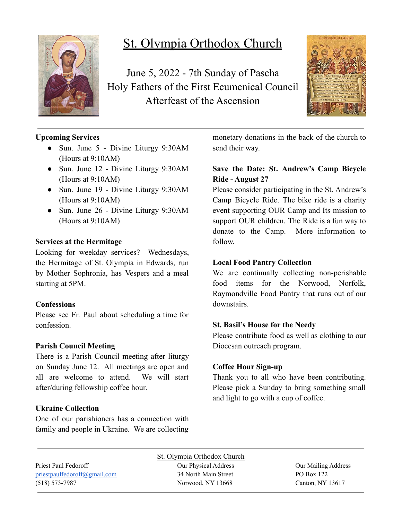

# St. Olympia Orthodox Church

June 5, 2022 - 7th Sunday of Pascha Holy Fathers of the First Ecumenical Council Afterfeast of the Ascension



# **Upcoming Services**

- Sun. June 5 Divine Liturgy 9:30AM (Hours at 9:10AM)
- Sun. June 12 Divine Liturgy 9:30AM (Hours at 9:10AM)
- Sun. June 19 Divine Liturgy 9:30AM (Hours at 9:10AM)
- Sun. June 26 Divine Liturgy 9:30AM (Hours at 9:10AM)

### **Services at the Hermitage**

Looking for weekday services? Wednesdays, the Hermitage of St. Olympia in Edwards, run by Mother Sophronia, has Vespers and a meal starting at 5PM.

### **Confessions**

Please see Fr. Paul about scheduling a time for confession.

# **Parish Council Meeting**

There is a Parish Council meeting after liturgy on Sunday June 12. All meetings are open and all are welcome to attend. We will start after/during fellowship coffee hour.

# **Ukraine Collection**

One of our parishioners has a connection with family and people in Ukraine. We are collecting monetary donations in the back of the church to send their way.

# **Save the Date: St. Andrew's Camp Bicycle Ride - August 27**

Please consider participating in the St. Andrew's Camp Bicycle Ride. The bike ride is a charity event supporting OUR Camp and Its mission to support OUR children. The Ride is a fun way to donate to the Camp. More information to follow.

## **Local Food Pantry Collection**

We are continually collecting non-perishable food items for the Norwood, Norfolk, Raymondville Food Pantry that runs out of our downstairs.

# **St. Basil's House for the Needy**

Please contribute food as well as clothing to our Diocesan outreach program.

# **Coffee Hour Sign-up**

Thank you to all who have been contributing. Please pick a Sunday to bring something small and light to go with a cup of coffee.

St. Olympia Orthodox Church Priest Paul Fedoroff **Our Physical Address** Our Physical Address **Our Mailing Address** [priestpaulfedoroff@gmail.com](mailto:priestpaulfedoroff@gmail.com) 34 North Main Street PO Box 122 (518) 573-7987 Norwood, NY 13668 Canton, NY 13617